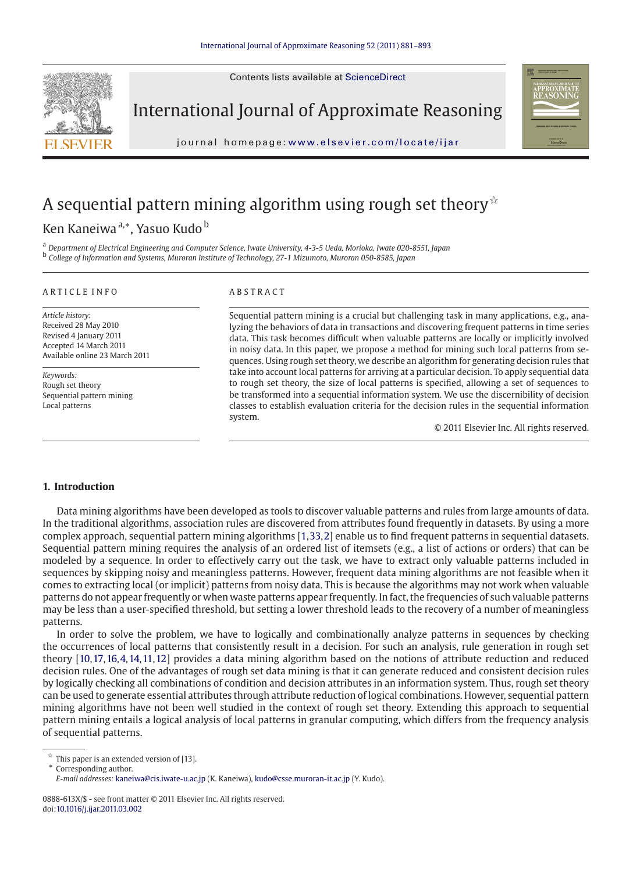Contents lists available at [ScienceDirect](http://www.sciencedirect.com/science/journal/0888613X)

SEVIER

International Journal of Approximate Reasoning



# A sequential pattern mining algorithm using rough set theory  $\dot{x}$

## Ken Kaneiwa<sup>a,∗</sup>, Yasuo Kudo<sup>b</sup>

<sup>a</sup> *Department of Electrical Engineering and Computer Science, Iwate University, 4-3-5 Ueda, Morioka, Iwate 020-8551, Japan* <sup>b</sup> *College of Information and Systems, Muroran Institute of Technology, 27-1 Mizumoto, Muroran 050-8585, Japan*

### ARTICLE INFO ABSTRACT

*Article history:* Received 28 May 2010 Revised 4 January 2011 Accepted 14 March 2011 Available online 23 March 2011

*Keywords:* Rough set theory Sequential pattern mining Local patterns

Sequential pattern mining is a crucial but challenging task in many applications, e.g., analyzing the behaviors of data in transactions and discovering frequent patterns in time series data. This task becomes difficult when valuable patterns are locally or implicitly involved in noisy data. In this paper, we propose a method for mining such local patterns from sequences. Using rough set theory, we describe an algorithm for generating decision rules that take into account local patterns for arriving at a particular decision. To apply sequential data to rough set theory, the size of local patterns is specified, allowing a set of sequences to be transformed into a sequential information system. We use the discernibility of decision classes to establish evaluation criteria for the decision rules in the sequential information system.

© 2011 Elsevier Inc. All rights reserved.

### **1. Introduction**

Data mining algorithms have been developed as tools to discover valuable patterns and rules from large amounts of data. In the traditional algorithms, association rules are discovered from attributes found frequently in datasets. By using a more complex approach, sequential pattern mining algorithms [\[1,](#page--1-0)[33](#page--1-1),[2](#page--1-2)] enable us to find frequent patterns in sequential datasets. Sequential pattern mining requires the analysis of an ordered list of itemsets (e.g., a list of actions or orders) that can be modeled by a sequence. In order to effectively carry out the task, we have to extract only valuable patterns included in sequences by skipping noisy and meaningless patterns. However, frequent data mining algorithms are not feasible when it comes to extracting local (or implicit) patterns from noisy data. This is because the algorithms may not work when valuable patterns do not appear frequently or when waste patterns appear frequently. In fact, the frequencies of such valuable patterns may be less than a user-specified threshold, but setting a lower threshold leads to the recovery of a number of meaningless patterns.

In order to solve the problem, we have to logically and combinationally analyze patterns in sequences by checking the occurrences of local patterns that consistently result in a decision. For such an analysis, rule generation in rough set theory [\[10](#page--1-3)[,17](#page--1-4),[16](#page--1-5)[,4](#page--1-6),[14](#page--1-7)[,11,](#page--1-8)[12\]](#page--1-9) provides a data mining algorithm based on the notions of attribute reduction and reduced decision rules. One of the advantages of rough set data mining is that it can generate reduced and consistent decision rules by logically checking all combinations of condition and decision attributes in an information system. Thus, rough set theory can be used to generate essential attributes through attribute reduction of logical combinations. However, sequential pattern mining algorithms have not been well studied in the context of rough set theory. Extending this approach to sequential pattern mining entails a logical analysis of local patterns in granular computing, which differs from the frequency analysis of sequential patterns.

Corresponding author.



 $\overrightarrow{r}$  This paper is an extended version of [13].

*E-mail addresses:* kaneiwa@cis.iwate-u.ac.jp (K. Kaneiwa), kudo@csse.muroran-it.ac.jp (Y. Kudo).

<sup>0888-613</sup>X/\$ - see front matter © 2011 Elsevier Inc. All rights reserved. doi[:10.1016/j.ijar.2011.03.002](http://dx.doi.org/10.1016/j.ijar.2011.03.002)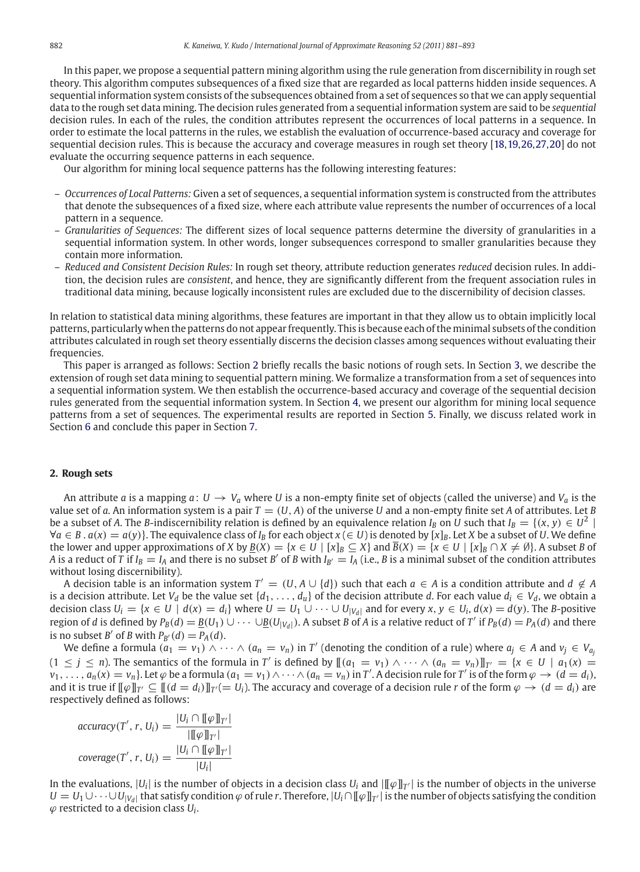In this paper, we propose a sequential pattern mining algorithm using the rule generation from discernibility in rough set theory. This algorithm computes subsequences of a fixed size that are regarded as local patterns hidden inside sequences. A sequential information system consists of the subsequences obtained from a set of sequences so that we can apply sequential data to the rough set data mining. The decision rules generated from a sequential information system are said to be *sequential* decision rules. In each of the rules, the condition attributes represent the occurrences of local patterns in a sequence. In order to estimate the local patterns in the rules, we establish the evaluation of occurrence-based accuracy and coverage for sequential decision rules. This is because the accuracy and coverage measures in rough set theory [\[18](#page--1-10)[,19,](#page--1-11)[26](#page--1-12)[,27](#page--1-13)[,20](#page--1-14)] do not evaluate the occurring sequence patterns in each sequence.

Our algorithm for mining local sequence patterns has the following interesting features:

- *Occurrences of Local Patterns:* Given a set of sequences, a sequential information system is constructed from the attributes that denote the subsequences of a fixed size, where each attribute value represents the number of occurrences of a local pattern in a sequence.
- *Granularities of Sequences:* The different sizes of local sequence patterns determine the diversity of granularities in a sequential information system. In other words, longer subsequences correspond to smaller granularities because they contain more information.
- *Reduced and Consistent Decision Rules:* In rough set theory, attribute reduction generates *reduced* decision rules. In addition, the decision rules are *consistent*, and hence, they are significantly different from the frequent association rules in traditional data mining, because logically inconsistent rules are excluded due to the discernibility of decision classes.

In relation to statistical data mining algorithms, these features are important in that they allow us to obtain implicitly local patterns, particularly when the patterns do not appear frequently. This is because each of the minimal subsets of the condition attributes calculated in rough set theory essentially discerns the decision classes among sequences without evaluating their frequencies.

This paper is arranged as follows: Section [2](#page-1-0) briefly recalls the basic notions of rough sets. In Section [3,](#page--1-15) we describe the extension of rough set data mining to sequential pattern mining. We formalize a transformation from a set of sequences into a sequential information system. We then establish the occurrence-based accuracy and coverage of the sequential decision rules generated from the sequential information system. In Section [4,](#page--1-16) we present our algorithm for mining local sequence patterns from a set of sequences. The experimental results are reported in Section [5.](#page--1-17) Finally, we discuss related work in Section [6](#page--1-18) and conclude this paper in Section [7.](#page--1-19)

### <span id="page-1-0"></span>**2. Rough sets**

An attribute *a* is a mapping *a* :  $U \to V_a$  where *U* is a non-empty finite set of objects (called the universe) and  $V_a$  is the value set of *a*. An information system is a pair  $T = (U, A)$  of the universe *U* and a non-empty finite set *A* of attributes. Let *B* be a subset of *A*. The *B*-indiscernibility relation is defined by an equivalence relation  $I_B$  on *U* such that  $I_B = \{(x, y) \in U^2 \mid$  $∀a ∈ B$ .  $a(x) = a(y)$ . The equivalence class of  $I_B$  for each object  $x ∈ U$  is denoted by [ $x]_B$ . Let *X* be a subset of *U*. We define the lower and upper approximations of X by  $\underline{B}(X) = \{x \in U \mid [x]_B \subseteq X\}$  and  $\overline{B}(X) = \{x \in U \mid [x]_B \cap X \neq \emptyset\}$ . A subset B of *A* is a reduct of *T* if  $I_B = I_A$  and there is no subset *B*<sup>*'*</sup> of *B* with  $I_{B'} = I_A$  (i.e., *B* is a minimal subset of the condition attributes without losing discernibility).

A decision table is an information system  $T' = (U, A \cup \{d\})$  such that each  $a \in A$  is a condition attribute and  $d \notin A$ is a decision attribute. Let  $V_d$  be the value set  $\{d_1,\ldots,d_u\}$  of the decision attribute *d*. For each value  $d_i \in V_d$ , we obtain a decision class  $U_i = \{x \in U \mid d(x) = d_i\}$  where  $U = U_1 \cup \cdots \cup U_{|V_d|}$  and for every  $x, y \in U_i$ ,  $d(x) = d(y)$ . The B-positive region of d is defined by  $P_B(d) = \underline{B}(U_1) \cup \cdots \cup \underline{B}(U_{|V_d|})$ . A subset B of A is a relative reduct of T' if  $P_B(d) = P_A(d)$  and there is no subset *B*<sup> $\prime$ </sup> of *B* with  $P_{B'}(d) = P_A(d)$ .

We define a formula  $(a_1 = v_1) \wedge \cdots \wedge (a_n = v_n)$  in *T'* (denoting the condition of a rule) where  $a_j \in A$  and  $v_j \in V_{a_j}$  $(1 \le j \le n)$ . The semantics of the formula in *T'* is defined by  $[(a_1 = v_1) \land \cdots \land (a_n = v_n)]_{T'} = \{x \in U \mid a_1(x) = 0\}$  $v_1, \ldots, a_n(x) = v_n$ . Let  $\varphi$  be a formula  $(a_1 = v_1) \wedge \cdots \wedge (a_n = v_n)$  in *T'*. A decision rule for *T'* is of the form  $\varphi \to (d = d_i)$ , and it is true if  $[\![\varphi]\!]_{T'} \subseteq [\![(d = d_i)]\!]_{T'} (= U_i)$ . The accuracy and coverage of a decision rule *r* of the form  $\varphi \to (d = d_i)$  are respectively defined as follows:

$$
\begin{aligned}\n\text{accuracy}(T', r, U_i) &= \frac{|U_i \cap [\![\varphi]\!]_{T'}}{|\![\![\varphi]\!]_{T'}|} \\
\text{coverage}(T', r, U_i) &= \frac{|U_i \cap [\![\varphi]\!]_{T'}}{|U_i|}\n\end{aligned}
$$

In the evaluations,  $|U_i|$  is the number of objects in a decision class  $U_i$  and  $|[\![\varphi]\!]_{T'}|$  is the number of objects in the universe  $U = U_1 \cup \cdots \cup U_{|V_d|}$  that satisfy condition  $\varphi$  of rule *r*. Therefore,  $|U_i \cap [\varphi] |_{T'}|$  is the number of objects satisfying the condition  $\varphi$  restricted to a decision class  $U_i$ .